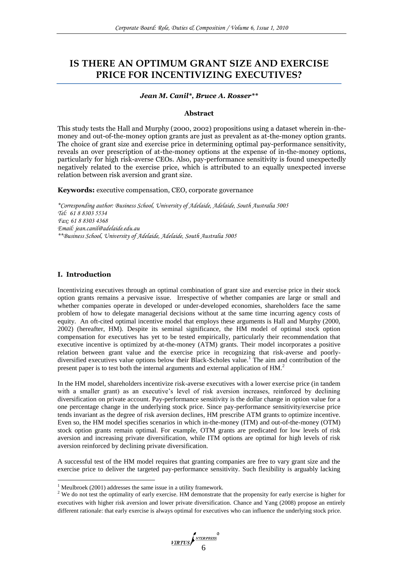# **IS THERE AN OPTIMUM GRANT SIZE AND EXERCISE PRICE FOR INCENTIVIZING EXECUTIVES?**

## *Jean M. Canil\*, Bruce A. Rosser\*\**

#### **Abstract**

This study tests the Hall and Murphy (2000, 2002) propositions using a dataset wherein in-themoney and out-of-the-money option grants are just as prevalent as at-the-money option grants. The choice of grant size and exercise price in determining optimal pay-performance sensitivity, reveals an over prescription of at-the-money options at the expense of in-the-money options, particularly for high risk-averse CEOs. Also, pay-performance sensitivity is found unexpectedly negatively related to the exercise price, which is attributed to an equally unexpected inverse relation between risk aversion and grant size.

**Keywords:** executive compensation, CEO, corporate governance

*\*Corresponding author: Business School, University of Adelaide, Adelaide, South Australia 5005 Tel: 61 8 8303 5534 Fax: 61 8 8303 4368 Email: [jean.canil@adelaide.edu.au](mailto:jean.canil@adelaide.edu.au) \*\*Business School, University of Adelaide, Adelaide, South Australia 5005*

## **I. Introduction**

1

Incentivizing executives through an optimal combination of grant size and exercise price in their stock option grants remains a pervasive issue. Irrespective of whether companies are large or small and whether companies operate in developed or under-developed economies, shareholders face the same problem of how to delegate managerial decisions without at the same time incurring agency costs of equity. An oft-cited optimal incentive model that employs these arguments is Hall and Murphy (2000, 2002) (hereafter, HM). Despite its seminal significance, the HM model of optimal stock option compensation for executives has yet to be tested empirically, particularly their recommendation that executive incentive is optimized by at-the-money (ATM) grants. Their model incorporates a positive relation between grant value and the exercise price in recognizing that risk-averse and poorlydiversified executives value options below their Black-Scholes value.<sup>1</sup> The aim and contribution of the present paper is to test both the internal arguments and external application of HM.<sup>2</sup>

In the HM model, shareholders incentivize risk-averse executives with a lower exercise price (in tandem with a smaller grant) as an executive's level of risk aversion increases, reinforced by declining diversification on private account. Pay-performance sensitivity is the dollar change in option value for a one percentage change in the underlying stock price. Since pay-performance sensitivity/exercise price tends invariant as the degree of risk aversion declines, HM prescribe ATM grants to optimize incentive. Even so, the HM model specifies scenarios in which in-the-money (ITM) and out-of-the-money (OTM) stock option grants remain optimal. For example, OTM grants are predicated for low levels of risk aversion and increasing private diversification, while ITM options are optimal for high levels of risk aversion reinforced by declining private diversification.

A successful test of the HM model requires that granting companies are free to vary grant size and the exercise price to deliver the targeted pay-performance sensitivity. Such flexibility is arguably lacking

<sup>&</sup>lt;sup>1</sup> Meulbroek (2001) addresses the same issue in a utility framework.

<sup>&</sup>lt;sup>2</sup> We do not test the optimality of early exercise. HM demonstrate that the propensity for early exercise is higher for executives with higher risk aversion and lower private diversification. Chance and Yang (2008) propose an entirely different rationale: that early exercise is always optimal for executives who can influence the underlying stock price.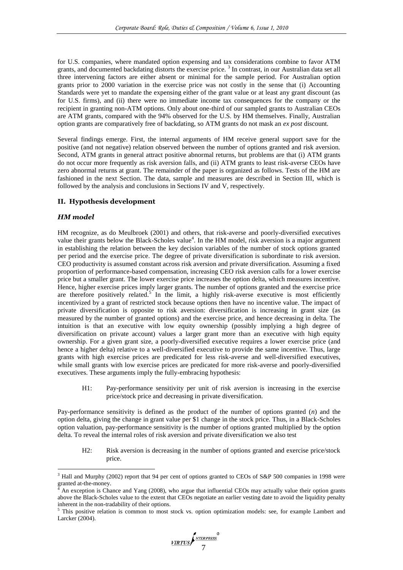for U.S. companies, where mandated option expensing and tax considerations combine to favor ATM grants, and documented backdating distorts the exercise price.<sup>3</sup> In contrast, in our Australian data set all three intervening factors are either absent or minimal for the sample period. For Australian option grants prior to 2000 variation in the exercise price was not costly in the sense that (i) Accounting Standards were yet to mandate the expensing either of the grant value or at least any grant discount (as for U.S. firms), and (ii) there were no immediate income tax consequences for the company or the recipient in granting non-ATM options. Only about one-third of our sampled grants to Australian CEOs are ATM grants, compared with the 94% observed for the U.S. by HM themselves. Finally, Australian option grants are comparatively free of backdating, so ATM grants do not mask an *ex post* discount.

Several findings emerge. First, the internal arguments of HM receive general support save for the positive (and not negative) relation observed between the number of options granted and risk aversion. Second, ATM grants in general attract positive abnormal returns, but problems are that (i) ATM grants do not occur more frequently as risk aversion falls, and (ii) ATM grants to least risk-averse CEOs have zero abnormal returns at grant. The remainder of the paper is organized as follows. Tests of the HM are fashioned in the next Section. The data, sample and measures are described in Section III, which is followed by the analysis and conclusions in Sections IV and V, respectively.

## **II. Hypothesis development**

## *HM model*

1

HM recognize, as do Meulbroek (2001) and others, that risk-averse and poorly-diversified executives value their grants below the Black-Scholes value<sup>4</sup>. In the HM model, risk aversion is a major argument in establishing the relation between the key decision variables of the number of stock options granted per period and the exercise price. The degree of private diversification is subordinate to risk aversion. CEO productivity is assumed constant across risk aversion and private diversification. Assuming a fixed proportion of performance-based compensation, increasing CEO risk aversion calls for a lower exercise price but a smaller grant. The lower exercise price increases the option delta, which measures incentive. Hence, higher exercise prices imply larger grants. The number of options granted and the exercise price are therefore positively related.<sup>5</sup> In the limit, a highly risk-averse executive is most efficiently incentivized by a grant of restricted stock because options then have no incentive value. The impact of private diversification is opposite to risk aversion: diversification is increasing in grant size (as measured by the number of granted options) and the exercise price, and hence decreasing in delta. The intuition is that an executive with low equity ownership (possibly implying a high degree of diversification on private account) values a larger grant more than an executive with high equity ownership. For a given grant size, a poorly-diversified executive requires a lower exercise price (and hence a higher delta) relative to a well-diversified executive to provide the same incentive. Thus, large grants with high exercise prices are predicated for less risk-averse and well-diversified executives, while small grants with low exercise prices are predicated for more risk-averse and poorly-diversified executives. These arguments imply the fully-embracing hypothesis:

H1: Pay-performance sensitivity per unit of risk aversion is increasing in the exercise price/stock price and decreasing in private diversification.

Pay-performance sensitivity is defined as the product of the number of options granted (*n*) and the option delta, giving the change in grant value per \$1 change in the stock price. Thus, in a Black-Scholes option valuation, pay-performance sensitivity is the number of options granted multiplied by the option delta. To reveal the internal roles of risk aversion and private diversification we also test

H2: Risk aversion is decreasing in the number of options granted and exercise price/stock price.

<sup>&</sup>lt;sup>3</sup> Hall and Murphy (2002) report that 94 per cent of options granted to CEOs of S&P 500 companies in 1998 were granted at-the-money.

<sup>4</sup> An exception is Chance and Yang (2008), who argue that influential CEOs may actually value their option grants above the Black-Scholes value to the extent that CEOs negotiate an earlier vesting date to avoid the liquidity penalty inherent in the non-tradability of their options.

<sup>&</sup>lt;sup>5</sup> This positive relation is common to most stock vs. option optimization models: see, for example Lambert and Larcker (2004).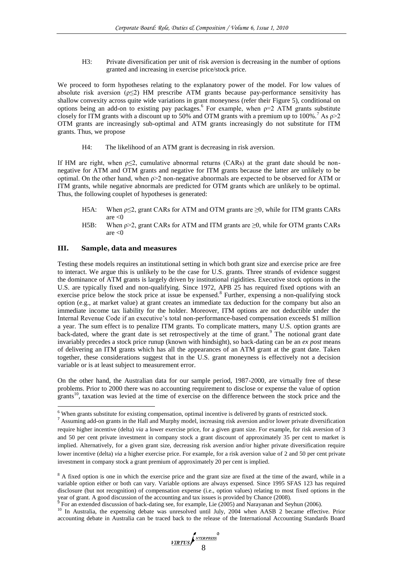H3: Private diversification per unit of risk aversion is decreasing in the number of options granted and increasing in exercise price/stock price.

We proceed to form hypotheses relating to the explanatory power of the model. For low values of absolute risk aversion  $(p \le 2)$  HM prescribe ATM grants because pay-performance sensitivity has shallow convexity across quite wide variations in grant moneyness (refer their Figure 5), conditional on options being an add-on to existing pay packages.<sup>6</sup> For example, when  $p=2$  ATM grants substitute closely for ITM grants with a discount up to 50% and OTM grants with a premium up to 100%.<sup>7</sup> As  $\rho > 2$ OTM grants are increasingly sub-optimal and ATM grants increasingly do not substitute for ITM grants. Thus, we propose

H4: The likelihood of an ATM grant is decreasing in risk aversion.

If HM are right, when  $p \leq 2$ , cumulative abnormal returns (CARs) at the grant date should be nonnegative for ATM and OTM grants and negative for ITM grants because the latter are unlikely to be optimal. On the other hand, when ρ>2 non-negative abnormals are expected to be observed for ATM or ITM grants, while negative abnormals are predicted for OTM grants which are unlikely to be optimal. Thus, the following couplet of hypotheses is generated:

- H5A: When  $p \le 2$ , grant CARs for ATM and OTM grants are  $\ge 0$ , while for ITM grants CARs are  $<$ 0
- H5B: When  $\rho > 2$ , grant CARs for ATM and ITM grants are  $\geq 0$ , while for OTM grants CARs are  $< 0$

## **III. Sample, data and measures**

1

Testing these models requires an institutional setting in which both grant size and exercise price are free to interact. We argue this is unlikely to be the case for U.S. grants. Three strands of evidence suggest the dominance of ATM grants is largely driven by institutional rigidities. Executive stock options in the U.S. are typically fixed and non-qualifying. Since 1972, APB 25 has required fixed options with an exercise price below the stock price at issue be expensed.<sup>8</sup> Further, expensing a non-qualifying stock option (e.g., at market value) at grant creates an immediate tax deduction for the company but also an immediate income tax liability for the holder. Moreover, ITM options are not deductible under the Internal Revenue Code if an executive's total non-performance-based compensation exceeds \$1 million a year. The sum effect is to penalize ITM grants. To complicate matters, many U.S. option grants are back-dated, where the grant date is set retrospectively at the time of grant.<sup>9</sup> The notional grant date invariably precedes a stock price runup (known with hindsight), so back-dating can be an *ex post* means of delivering an ITM grants which has all the appearances of an ATM grant at the grant date. Taken together, these considerations suggest that in the U.S. grant moneyness is effectively not a decision variable or is at least subject to measurement error.

On the other hand, the Australian data for our sample period, 1987-2000, are virtually free of these problems. Prior to 2000 there was no accounting requirement to disclose or expense the value of option grants<sup>10</sup>, taxation was levied at the time of exercise on the difference between the stock price and the

<sup>&</sup>lt;sup>6</sup> When grants substitute for existing compensation, optimal incentive is delivered by grants of restricted stock.

<sup>&</sup>lt;sup>7</sup> Assuming add-on grants in the Hall and Murphy model, increasing risk aversion and/or lower private diversification require higher incentive (delta) *via* a lower exercise price, for a given grant size. For example, for risk aversion of 3 and 50 per cent private investment in company stock a grant discount of approximately 35 per cent to market is implied. Alternatively, for a given grant size, decreasing risk aversion and/or higher private diversification require lower incentive (delta) *via* a higher exercise price. For example, for a risk aversion value of 2 and 50 per cent private investment in company stock a grant premium of approximately 20 per cent is implied.

<sup>&</sup>lt;sup>8</sup> A fixed option is one in which the exercise price and the grant size are fixed at the time of the award, while in a variable option either or both can vary. Variable options are always expensed. Since 1995 SFAS 123 has required disclosure (but not recognition) of compensation expense (i.e., option values) relating to most fixed options in the year of grant. A good discussion of the accounting and tax issues is provided by Chance (2008).<br><sup>9</sup> For an extended discussion of back dating see, for example, Lie (2005) and Narayanan and So.

For an extended discussion of back-dating see, for example, Lie (2005) and Narayanan and Seyhun (2006).

<sup>&</sup>lt;sup>10</sup> In Australia, the expensing debate was unresolved until July, 2004 when AASB 2 became effective. Prior accounting debate in Australia can be traced back to the release of the International Accounting Standards Board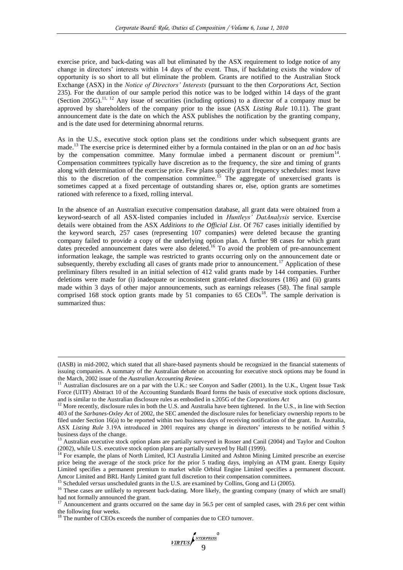exercise price, and back-dating was all but eliminated by the ASX requirement to lodge notice of any change in directors' interests within 14 days of the event. Thus, if backdating exists the window of opportunity is so short to all but eliminate the problem. Grants are notified to the Australian Stock Exchange (ASX) in the *Notice of Directors' Interests* (pursuant to the then *Corporations Act*, Section 235). For the duration of our sample period this notice was to be lodged within 14 days of the grant (Section 205G).<sup>11, 12</sup> Any issue of securities (including options) to a director of a company must be approved by shareholders of the company prior to the issue (ASX *Listing Rule* 10.11). The grant announcement date is the date on which the ASX publishes the notification by the granting company, and is the date used for determining abnormal returns.

As in the U.S., executive stock option plans set the conditions under which subsequent grants are made.<sup>13</sup> The exercise price is determined either by a formula contained in the plan or on an *ad hoc* basis by the compensation committee. Many formulae imbed a permanent discount or premium<sup>14</sup>. Compensation committees typically have discretion as to the frequency, the size and timing of grants along with determination of the exercise price. Few plans specify grant frequency schedules: most leave this to the discretion of the compensation committee.<sup>15</sup> The aggregate of unexercised grants is sometimes capped at a fixed percentage of outstanding shares or, else, option grants are sometimes rationed with reference to a fixed, rolling interval.

In the absence of an Australian executive compensation database, all grant data were obtained from a keyword-search of all ASX-listed companies included in *Huntleys' DatAnalysis* service. Exercise details were obtained from the ASX *Additions to the Official List*. Of 767 cases initially identified by the keyword search, 257 cases (representing 107 companies) were deleted because the granting company failed to provide a copy of the underlying option plan. A further 98 cases for which grant dates preceded announcement dates were also deleted.<sup>16</sup> To avoid the problem of pre-announcement information leakage, the sample was restricted to grants occurring only on the announcement date or subsequently, thereby excluding all cases of grants made prior to announcement.<sup>17</sup> Application of these preliminary filters resulted in an initial selection of 412 valid grants made by 144 companies. Further deletions were made for (i) inadequate or inconsistent grant-related disclosures (186) and (ii) grants made within 3 days of other major announcements, such as earnings releases (58). The final sample comprised 168 stock option grants made by 51 companies to 65  $CEOs<sup>18</sup>$ . The sample derivation is summarized thus:

<u>.</u>

<sup>(</sup>IASB) in mid-2002, which stated that all share-based payments should be recognized in the financial statements of issuing companies. A summary of the Australian debate on accounting for executive stock options may be found in the March, 2002 issue of the *Australian Accounting Review.*

<sup>&</sup>lt;sup>11</sup> Australian disclosures are on a par with the U.K.: see Conyon and Sadler (2001). In the U.K., Urgent Issue Task Force (UITF) Abstract 10 of the Accounting Standards Board forms the basis of executive stock options disclosure, and is similar to the Australian disclosure rules as embodied in s.205G of the *Corporations Act*

<sup>&</sup>lt;sup>12</sup> More recently, disclosure rules in both the U.S. and Australia have been tightened. In the U.S., in line with Section 403 of the *Sarbanes-Oxley Act* of 2002, the SEC amended the disclosure rules for beneficiary ownership reports to be filed under Section 16(a) to be reported within two business days of receiving notification of the grant. In Australia, ASX *Listing Rule* 3.19A introduced in 2001 requires any change in directors' interests to be notified within 5 business days of the change.

<sup>13</sup> Australian executive stock option plans are partially surveyed in Rosser and Canil (2004) and Taylor and Coulton (2002), while U.S. executive stock option plans are partially surveyed by Hall (1999).

<sup>&</sup>lt;sup>14</sup> For example, the plans of North Limited, ICI Australia Limited and Ashton Mining Limited prescribe an exercise price being the average of the stock price for the prior 5 trading days, implying an ATM grant. Energy Equity Limited specifies a permanent premium to market while Orbital Engine Limited specifies a permanent discount. Amcor Limited and BRL Hardy Limited grant full discretion to their compensation committees.

<sup>15</sup> Scheduled *versus* unscheduled grants in the U.S. are examined by Collins, Gong and Li (2005).

<sup>&</sup>lt;sup>16</sup> These cases are unlikely to represent back-dating. More likely, the granting company (many of which are small) had not formally announced the grant.

<sup>&</sup>lt;sup>17</sup> Announcement and grants occurred on the same day in 56.5 per cent of sampled cases, with 29.6 per cent within the following four weeks.

<sup>&</sup>lt;sup>18</sup> The number of CEOs exceeds the number of companies due to CEO turnover.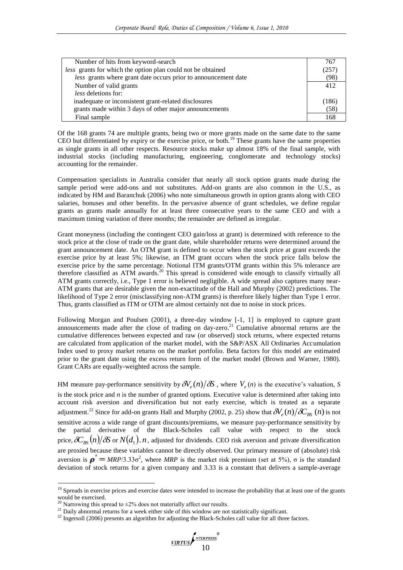| Number of hits from keyword-search                             | 767   |
|----------------------------------------------------------------|-------|
| less grants for which the option plan could not be obtained    | (257) |
| less grants where grant date occurs prior to announcement date | (98)  |
| Number of valid grants                                         | 412   |
| <i>less</i> deletions for:                                     |       |
| inadequate or inconsistent grant-related disclosures           | (186) |
| grants made within 3 days of other major announcements         | (58)  |
| Final sample                                                   | 168   |

Of the 168 grants 74 are multiple grants, being two or more grants made on the same date to the same CEO but differentiated by expiry or the exercise price, or both.<sup>19</sup> These grants have the same properties as single grants in all other respects. Resource stocks make up almost 18% of the final sample, with industrial stocks (including manufacturing, engineering, conglomerate and technology stocks) accounting for the remainder.

Compensation specialists in Australia consider that nearly all stock option grants made during the sample period were add-ons and not substitutes. Add-on grants are also common in the U.S., as indicated by HM and Baranchuk (2006) who note simultaneous growth in option grants along with CEO salaries, bonuses and other benefits. In the pervasive absence of grant schedules, we define regular grants as grants made annually for at least three consecutive years to the same CEO and with a maximum timing variation of three months; the remainder are defined as irregular.

Grant moneyness (including the contingent CEO gain/loss at grant) is determined with reference to the stock price at the close of trade on the grant date, while shareholder returns were determined around the grant announcement date. An OTM grant is defined to occur when the stock price at grant exceeds the exercise price by at least 5%; likewise, an ITM grant occurs when the stock price falls below the exercise price by the same percentage. Notional ITM grants/OTM grants within this 5% tolerance are therefore classified as ATM awards.<sup>20</sup> This spread is considered wide enough to classify virtually all ATM grants correctly, i.e., Type 1 error is believed negligible. A wide spread also captures many near-ATM grants that are desirable given the non-exactitude of the Hall and Murphy (2002) predictions. The likelihood of Type 2 error (misclassifying non-ATM grants) is therefore likely higher than Type 1 error. Thus, grants classified as ITM or OTM are almost certainly not due to noise in stock prices.

Following Morgan and Poulsen (2001), a three-day window [-1, 1] is employed to capture grant announcements made after the close of trading on day-zero.<sup>21</sup> Cumulative abnormal returns are the cumulative differences between expected and raw (or observed) stock returns, where expected returns are calculated from application of the market model, with the S&P/ASX All Ordinaries Accumulation Index used to proxy market returns on the market portfolio. Beta factors for this model are estimated prior to the grant date using the excess return form of the market model (Brown and Warner, 1980). Grant CARs are equally-weighted across the sample.

HM measure pay-performance sensitivity by  $\partial V_e(n)/\partial S$ , where  $V_e(n)$  is the executive's valuation, *S* is the stock price and *n* is the number of granted options. Executive value is determined after taking into account risk aversion and diversification but not early exercise, which is treated as a separate adjustment.<sup>22</sup> Since for add-on grants Hall and Murphy (2002, p. 25) show that  $\partial V_e(n)/\partial C_{BS}(n)$  is not sensitive across a wide range of grant discounts/premiums, we measure pay-performance sensitivity by the partial derivative of the Black-Scholes call value with respect to the stock price,  $\delta\!C_{_{B\!S}}(n)/\delta\!S$  or  $N(d_1)$ . *n*, adjusted for dividends. CEO risk aversion and private diversification are proxied because these variables cannot be directly observed. Our primary measure of (absolute) risk aversion is  $\boldsymbol{p}' = MRP/3.33\sigma^2$ , where *MRP* is the market risk premium (set at 5%), σ is the standard deviation of stock returns for a given company and 3.33 is a constant that delivers a sample-average

1

<sup>&</sup>lt;sup>19</sup> Spreads in exercise prices and exercise dates were intended to increase the probability that at least one of the grants would be exercised.

<sup>&</sup>lt;sup>20</sup> Narrowing this spread to  $\pm$ 2% does not materially affect our results.

 $21$  Daily abnormal returns for a week either side of this window are not statistically significant.

<sup>&</sup>lt;sup>22</sup> Ingersoll (2006) presents an algorithm for adjusting the Black-Scholes call value for all three factors.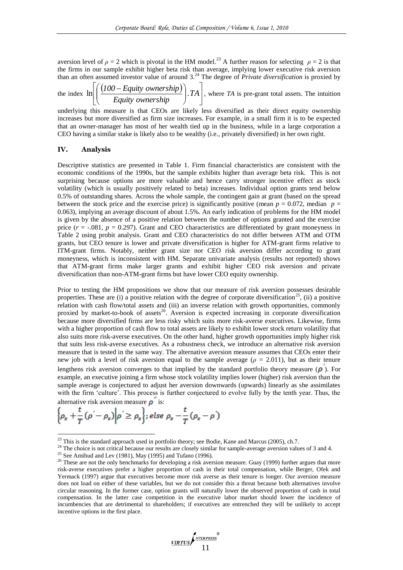aversion level of  $\rho = 2$  which is pivotal in the HM model.<sup>23</sup> A further reason for selecting  $\rho = 2$  is that the firms in our sample exhibit higher beta risk than average, implying lower executive risk aversion than an often assumed investor value of around 3.<sup>24</sup> The degree of *Private diversification* is proxied by

the index  $\ln \left| \left( \frac{(100 - \text{Equity ownership})}{\frac{1}{2} \cdot \frac{1}{2} \cdot \frac{1}{2}} \right| \right|$  $\cdot$  $\overline{\phantom{a}}$   $\mathbf{r}$ L  $\overline{a}$  $\overline{\phantom{a}}$ J  $\setminus$  $\overline{\phantom{a}}$  $\setminus$  $\left(\frac{(100 - \text{Equity ownership})}{T_{\text{max}}}\right)$ . TA *Equity ownership*  $\ln\left|\left(\frac{(100 - \text{Equity ownership})}{\sum_{i=1}^{n} \text{Equation } \sum_{i=1}^{n} I_i}\right), T_A\right|$ , where *TA* is pre-grant total assets. The intuition

underlying this measure is that CEOs are likely less diversified as their direct equity ownership increases but more diversified as firm size increases. For example, in a small firm it is to be expected that an owner-manager has most of her wealth tied up in the business, while in a large corporation a CEO having a similar stake is likely also to be wealthy (i.e., privately diversified) in her own right.

## **IV. Analysis**

Descriptive statistics are presented in Table 1. Firm financial characteristics are consistent with the economic conditions of the 1990s, but the sample exhibits higher than average beta risk. This is not surprising because options are more valuable and hence carry stronger incentive effect as stock volatility (which is usually positively related to beta) increases. Individual option grants tend below 0.5% of outstanding shares. Across the whole sample, the contingent gain at grant (based on the spread between the stock price and the exercise price) is significantly positive (mean  $p = 0.072$ , median  $p =$ 0.063), implying an average discount of about 1.5%. An early indication of problems for the HM model is given by the absence of a positive relation between the number of options granted and the exercise price  $(r = -0.081, p = 0.297)$ . Grant and CEO characteristics are differentiated by grant moneyness in Table 2 using probit analysis. Grant and CEO characteristics do not differ between ATM and OTM grants, but CEO tenure is lower and private diversification is higher for ATM-grant firms relative to ITM-grant firms. Notably, neither grant size nor CEO risk aversion differ according to grant moneyness, which is inconsistent with HM. Separate univariate analysis (results not reported) shows that ATM-grant firms make larger grants and exhibit higher CEO risk aversion and private diversification than non-ATM-grant firms but have lower CEO equity ownership.

Prior to testing the HM propositions we show that our measure of risk aversion possesses desirable properties. These are (i) a positive relation with the degree of corporate diversification<sup>25</sup>, (ii) a positive relation with cash flow/total assets and (iii) an inverse relation with growth opportunities, commonly proxied by market-to-book of assets<sup>26</sup>. Aversion is expected increasing in corporate diversification because more diversified firms are less risky which suits more risk-averse executives. Likewise, firms with a higher proportion of cash flow to total assets are likely to exhibit lower stock return volatility that also suits more risk-averse executives. On the other hand, higher growth opportunities imply higher risk that suits less risk-averse executives. As a robustness check, we introduce an alternative risk aversion measure that is tested in the same way. The alternative aversion measure assumes that CEOs enter their new job with a level of risk aversion equal to the sample average ( $\rho = 2.011$ ), but as their tenure lengthens risk aversion converges to that implied by the standard portfolio theory measure  $(\rho)$ . For example, an executive joining a firm whose stock volatility implies lower (higher) risk aversion than the sample average is conjectured to adjust her aversion downwards (upwards) linearly as she assimilates with the firm 'culture'. This process is further conjectured to evolve fully by the tenth year. Thus, the alternative risk aversion measure  $\overline{\mathbf{o}}^*$  is:

$$
\left\{\rho_s + \frac{t}{T}(\rho' - \rho_s)\middle|\rho'\geq\rho_s\right\}; \text{else } \rho_s - \frac{t}{T}(\rho_s - \rho')
$$

1

 $23$  This is the standard approach used in portfolio theory; see Bodie, Kane and Marcus (2005), ch.7.

<sup>&</sup>lt;sup>24</sup> The choice is not critical because our results are closely similar for sample-average aversion values of 3 and 4.

<sup>&</sup>lt;sup>25</sup> See Amihud and Lev (1981), May (1995) and Tufano (1996).

<sup>&</sup>lt;sup>26</sup> These are not the only benchmarks for developing a risk aversion measure. Guay (1999) further argues that more risk-averse executives prefer a higher proportion of cash in their total compensation, while Berger, Ofek and Yermack (1997) argue that executives become more risk averse as their tenure is longer. Our aversion measure does not load on either of these variables, but we do not consider this a threat because both alternatives involve circular reasoning. In the former case, option grants will naturally lower the observed proportion of cash in total compensation. In the latter case competition in the executive labor market should lower the incidence of incumbencies that are detrimental to shareholders; if executives are entrenched they will be unlikely to accept incentive options in the first place.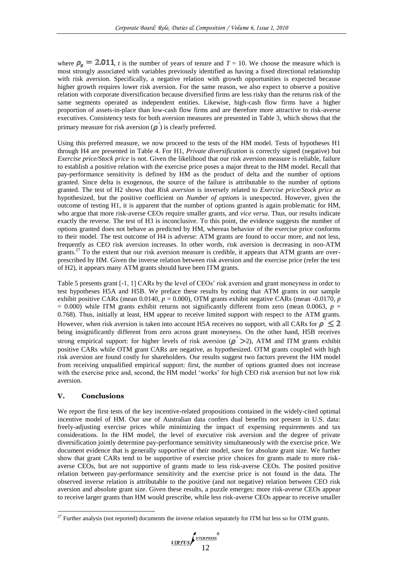where  $\rho_s = 2.011$ , *t* is the number of years of tenure and  $T = 10$ . We choose the measure which is most strongly associated with variables previously identified as having a fixed directional relationship with risk aversion. Specifically, a negative relation with growth opportunities is expected because higher growth requires lower risk aversion. For the same reason, we also expect to observe a positive relation with corporate diversification because diversified firms are less risky than the returns risk of the same segments operated as independent entities. Likewise, high-cash flow firms have a higher proportion of assets-in-place than low-cash flow firms and are therefore more attractive to risk-averse executives. Consistency tests for both aversion measures are presented in Table 3, which shows that the primary measure for risk aversion  $(\rho)$  is clearly preferred.

Using this preferred measure, we now proceed to the tests of the HM model. Tests of hypotheses H1 through H4 are presented in Table 4. For H1, *Private diversification* is correctly signed (negative) but *Exercise price/Stock price* is not. Given the likelihood that our risk aversion measure is reliable, failure to establish a positive relation with the exercise price poses a major threat to the HM model. Recall that pay-performance sensitivity is defined by HM as the product of delta and the number of options granted. Since delta is exogenous, the source of the failure is attributable to the number of options granted. The test of H2 shows that *Risk aversion* is inversely related to *Exercise price/Stock price* as hypothesized, but the positive coefficient on *Number of options* is unexpected. However, given the outcome of testing H1, it is apparent that the number of options granted is again problematic for HM, who argue that more risk-averse CEOs require smaller grants, and *vice versa*. Thus, our results indicate exactly the reverse. The test of H3 is inconclusive. To this point, the evidence suggests the number of options granted does not behave as predicted by HM, whereas behavior of the exercise price conforms to their model. The test outcome of H4 is adverse: ATM grants are found to occur more, and not less, frequently as CEO risk aversion increases. In other words, risk aversion is decreasing in non-ATM grants.<sup>27</sup> To the extent that our risk aversion measure is credible, it appears that ATM grants are overprescribed by HM. Given the inverse relation between risk aversion and the exercise price (refer the test of H2), it appears many ATM grants should have been ITM grants.

Table 5 presents grant [-1, 1] CARs by the level of CEOs' risk aversion and grant moneyness in order to test hypotheses H5A and H5B. We preface these results by noting that ATM grants in our sample exhibit positive CARs (mean 0.0140,  $p = 0.000$ ), OTM grants exhibit negative CARs (mean -0.0170, *p*  $= 0.000$ ) while ITM grants exhibit returns not significantly different from zero (mean 0.0063,  $p =$ 0.768). Thus, initially at least, HM appear to receive limited support with respect to the ATM grants. However, when risk aversion is taken into account H5A receives no support, with all CARs for  $\rho \leq 2$ being insignificantly different from zero across grant moneyness. On the other hand, H5B receives strong empirical support: for higher levels of risk aversion  $(\rho > 2)$ , ATM and ITM grants exhibit positive CARs while OTM grant CARs are negative, as hypothesized. OTM grants coupled with high risk aversion are found costly for shareholders. Our results suggest two factors prevent the HM model from receiving unqualified empirical support: first, the number of options granted does not increase with the exercise price and, second, the HM model 'works' for high CEO risk aversion but not low risk aversion.

# **V. Conclusions**

1

We report the first tests of the key incentive-related propositions contained in the widely-cited optimal incentive model of HM. Our use of Australian data confers dual benefits not present in U.S. data: freely-adjusting exercise prices while minimizing the impact of expensing requirements and tax considerations. In the HM model, the level of executive risk aversion and the degree of private diversification jointly determine pay-performance sensitivity simultaneously with the exercise price. We document evidence that is generally supportive of their model, save for absolute grant size. We further show that grant CARs tend to be supportive of exercise price choices for grants made to more riskaverse CEOs, but are not supportive of grants made to less risk-averse CEOs. The posited positive relation between pay-performance sensitivity and the exercise price is not found in the data. The observed inverse relation is attributable to the positive (and not negative) relation between CEO risk aversion and absolute grant size. Given these results, a puzzle emerges: more risk-averse CEOs appear to receive larger grants than HM would prescribe, while less risk-averse CEOs appear to receive smaller

<sup>&</sup>lt;sup>27</sup> Further analysis (not reported) documents the inverse relation separately for ITM but less so for OTM grants.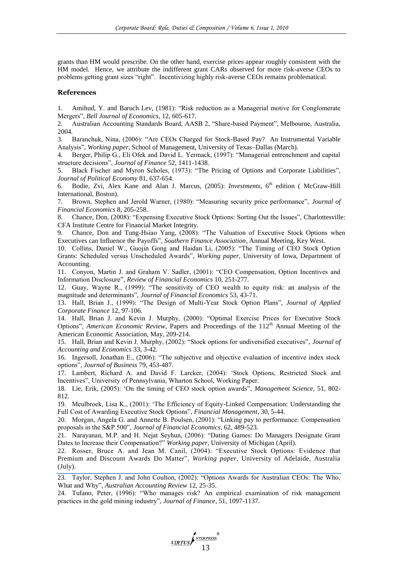grants than HM would prescribe. On the other hand, exercise prices appear roughly consistent with the HM model. Hence, we attribute the indifferent grant CARs observed for more risk-averse CEOs to problems getting grant sizes "right". Incentivizing highly risk-averse CEOs remains problematical.

#### **References**

1. Amihud, Y. and Baruch Lev, (1981): "Risk reduction as a Managerial motive for Conglomerate Mergers‖, *Bell Journal of Economics*, 12, 605-617.

2. Australian Accounting Standards Board, AASB 2, "Share-based Payment", Melbourne, Australia, 2004.

3. Baranchuk, Nina, (2006): "Are CEOs Charged for Stock-Based Pay? An Instrumental Variable Analysis", *Working paper*, School of Management, University of Texas–Dallas (March).

4. Berger, Philip G., Eli Ofek and David L. Yermack, (1997): "Managerial entrenchment and capital structure decisions", *Journal of Finance* 52, 1411-1438.

5. Black Fischer and Myron Scholes, (1973): "The Pricing of Options and Corporate Liabilities", *Journal of Political Economy* 81, 637-654.

6. Bodie, Zvi, Alex Kane and Alan J. Marcus, (2005): *Investments*, 6th edition ( McGraw-Hill International, Boston).

7. Brown, Stephen and Jerold Warner, (1980): "Measuring security price performance", *Journal of Financial Economics* 8, 205-258.

8. Chance, Don, (2008): "Expensing Executive Stock Options: Sorting Out the Issues", Charlottesville: CFA Institute Centre for Financial Market Integrity.

9. Chance, Don and Tung-Hsiao Yang, (2008): "The Valuation of Executive Stock Options when Executives can Influence the Payoffs‖, *Southern Finance Association*, Annual Meeting, Key West.

10. Collins, Daniel W., Guojin Gong and Haidan Li, (2005): "The Timing of CEO Stock Option Grants: Scheduled versus Unscheduled Awards‖, *Working paper*, University of Iowa, Department of Accounting.

11. Conyon, Martin J. and Graham V. Sadler, (2001): "CEO Compensation, Option Incentives and Information Disclosure", *Review of Financial Economics* 10, 251-277.

12. Guay, Wayne R., (1999): "The sensitivity of CEO wealth to equity risk: an analysis of the magnitude and determinants‖, *Journal of Financial Economics* 53, 43-71.

13. Hall, Brian J., (1999): "The Design of Multi-Year Stock Option Plans", *Journal of Applied Corporate Finance* 12, 97-106.

14. Hall, Brian J. and Kevin J. Murphy, (2000): "Optimal Exercise Prices for Executive Stock Options", *American Economic Review*, Papers and Proceedings of the 112<sup>th</sup> Annual Meeting of the American Economic Association, May, 209-214.

15. Hall, Brian and Kevin J. Murphy, (2002): "Stock options for undiversified executives", *Journal of Accounting and Economics* 33, 3-42.

16. Ingersoll, Jonathan E., (2006): "The subjective and objective evaluation of incentive index stock options‖, *Journal of Business* 79, 453-487.

17. Lambert, Richard A. and David F. Larcker, (2004): ‗Stock Options, Restricted Stock and Incentives", University of Pennsylvania, Wharton School, Working Paper.

18. Lie, Erik, (2005): 'On the timing of CEO stock option awards", *Management Science*, 51, 802-812.

19. Meulbroek, Lisa K., (2001): ‗The Efficiency of Equity-Linked Compensation: Understanding the Full Cost of Awarding Executive Stock Options‖, *Financial Management*, 30, 5-44.

20. Morgan, Angela G. and Annette B. Poulsen, (2001): "Linking pay to performance: Compensation proposals in the S&P 500", *Journal of Financial Economics*, 62, 489-523.

21. Narayanan, M.P. and H. Nejat Seyhun, (2006): "Dating Games: Do Managers Designate Grant Dates to Increase their Compensation?" *Working paper*, University of Michigan (April).

22. Rosser, Bruce A. and Jean M. Canil, (2004): "Executive Stock Options: Evidence that Premium and Discount Awards Do Matter", *Working paper*, University of Adelaide, Australia (July).

23. Taylor, Stephen J. and John Coulton, (2002): "Options Awards for Australian CEOs: The Who, What and Why", *Australian Accounting Review* 12, 25-35.

24. Tufano, Peter, (1996): "Who manages risk? An empirical examination of risk management practices in the gold mining industry", *Journal of Finance*, 51, 1097-1137.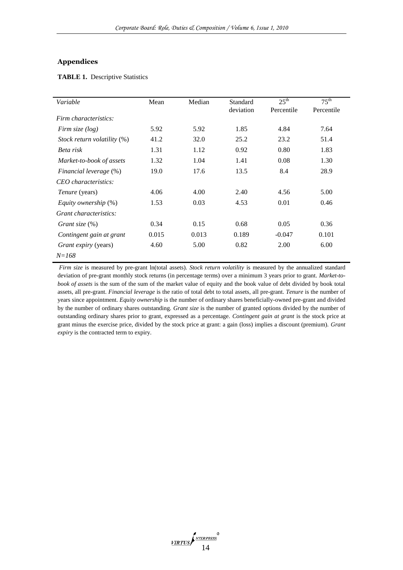## **Appendices**

# **TABLE 1.** Descriptive Statistics

| Variable                    | Mean  | Median | Standard  | $25^{\text{th}}$ | $75^{\text{th}}$ |
|-----------------------------|-------|--------|-----------|------------------|------------------|
|                             |       |        | deviation | Percentile       | Percentile       |
| Firm characteristics:       |       |        |           |                  |                  |
| Firm size $(log)$           | 5.92  | 5.92   | 1.85      | 4.84             | 7.64             |
| Stock return volatility (%) | 41.2  | 32.0   | 25.2      | 23.2             | 51.4             |
| Beta risk                   | 1.31  | 1.12   | 0.92      | 0.80             | 1.83             |
| Market-to-book of assets    | 1.32  | 1.04   | 1.41      | 0.08             | 1.30             |
| Financial leverage (%)      | 19.0  | 17.6   | 13.5      | 8.4              | 28.9             |
| CEO characteristics:        |       |        |           |                  |                  |
| <i>Tenure</i> (years)       | 4.06  | 4.00   | 2.40      | 4.56             | 5.00             |
| <i>Equity ownership</i> (%) | 1.53  | 0.03   | 4.53      | 0.01             | 0.46             |
| Grant characteristics:      |       |        |           |                  |                  |
| Grant size $(\%)$           | 0.34  | 0.15   | 0.68      | 0.05             | 0.36             |
| Contingent gain at grant    | 0.015 | 0.013  | 0.189     | $-0.047$         | 0.101            |
| Grant expiry (years)        | 4.60  | 5.00   | 0.82      | 2.00             | 6.00             |
| $N = 168$                   |       |        |           |                  |                  |

*Firm size* is measured by pre-grant ln(total assets). *Stock return volatility* is measured by the annualized standard deviation of pre-grant monthly stock returns (in percentage terms) over a minimum 3 years prior to grant. *Market-tobook of assets* is the sum of the sum of the market value of equity and the book value of debt divided by book total assets, all pre-grant. *Financial leverage* is the ratio of total debt to total assets, all pre-grant. *Tenure* is the number of years since appointment. *Equity ownership* is the number of ordinary shares beneficially-owned pre-grant and divided by the number of ordinary shares outstanding. *Grant size* is the number of granted options divided by the number of outstanding ordinary shares prior to grant, expressed as a percentage. *Contingent gain at grant* is the stock price at grant minus the exercise price, divided by the stock price at grant: a gain (loss) implies a discount (premium). *Grant expiry* is the contracted term to expiry.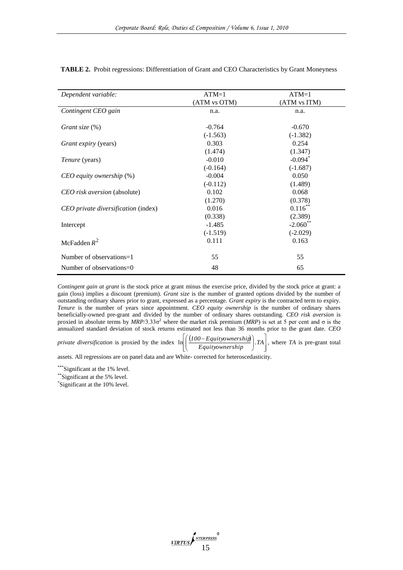| Dependent variable:                 | $ATM=1$      | $ATM=1$                |
|-------------------------------------|--------------|------------------------|
|                                     | (ATM vs OTM) | (ATM vs ITM)           |
| Contingent CEO gain                 | n.a.         | n.a.                   |
|                                     |              |                        |
| Grant size (%)                      | $-0.764$     | $-0.670$               |
|                                     | $(-1.563)$   | $(-1.382)$             |
| Grant expiry (years)                | 0.303        | 0.254                  |
|                                     | (1.474)      | (1.347)                |
| <i>Tenure</i> (years)               | $-0.010$     | $-0.094$ <sup>*</sup>  |
|                                     | $(-0.164)$   | $(-1.687)$             |
| $CEO$ equity ownership $(\%)$       | $-0.004$     | 0.050                  |
|                                     | $(-0.112)$   | (1.489)                |
| CEO risk aversion (absolute)        | 0.102        | 0.068                  |
|                                     | (1.270)      | (0.378)                |
| CEO private diversification (index) | 0.016        | $0.116$ **             |
|                                     | (0.338)      | (2.389)                |
| Intercept                           | $-1.485$     | $-2.060$ <sup>**</sup> |
|                                     | $(-1.519)$   | $(-2.029)$             |
| McFadden $R^2$                      | 0.111        | 0.163                  |
| Number of observations=1            | 55           | 55                     |
| Number of observations= $0$         | 48           | 65                     |

**TABLE 2.** Probit regressions: Differentiation of Grant and CEO Characteristics by Grant Moneyness

*Contingent gain at grant* is the stock price at grant minus the exercise price, divided by the stock price at grant: a gain (loss) implies a discount (premium). *Grant size* is the number of granted options divided by the number of outstanding ordinary shares prior to grant, expressed as a percentage. *Grant expiry* is the contracted term to expiry. *Tenure* is the number of years since appointment. *CEO equity ownership* is the number of ordinary shares beneficially-owned pre-grant and divided by the number of ordinary shares outstanding. *CEO risk aversion* is proxied in absolute terms by *MRP*/3.33σ<sup>2</sup> where the market risk premium (*MRP*) is set at 5 per cent and σ is the annualized standard deviation of stock returns estimated not less than 36 months prior to the grant date. *CEO* 

*private diversification* is proxied by the index  $\ln\left(\frac{(100 - \text{Equity ownership})}{\text{Equation:}}\right)$   $\frac{1}{2}$  $\overline{\phantom{a}}$  $\parallel$ L L  $\overline{\phantom{a}}$ J Ì  $\overline{\phantom{a}}$ Ţ  $\ln\left|\left(\frac{(100 - Equity ownership)}{Equity ownership}\right).TA\right|$ , where *TA* is pre-grant total

assets. All regressions are on panel data and are White- corrected for heteroscedasticity.

\*\*\*Significant at the 1% level.

\*\*Significant at the 5% level.

\* Significant at the 10% level.

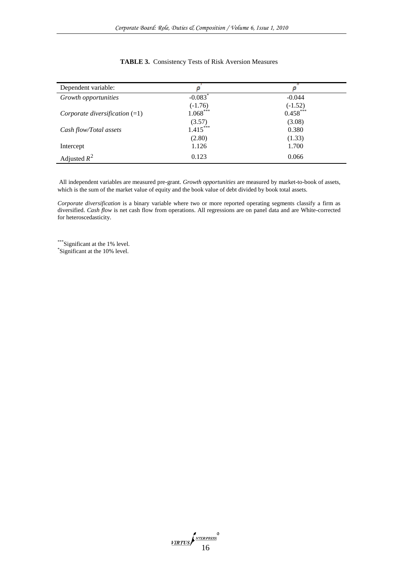| Dependent variable:              | ρ                     | ρ          |
|----------------------------------|-----------------------|------------|
| Growth opportunities             | $-0.083$ <sup>*</sup> | $-0.044$   |
|                                  | $(-1.76)$             | $(-1.52)$  |
| Corporate diversification $(=1)$ | $1.068***$            | $0.458***$ |
|                                  | (3.57)                | (3.08)     |
| Cash flow/Total assets           | $1.415***$            | 0.380      |
|                                  | (2.80)                | (1.33)     |
| Intercept                        | 1.126                 | 1.700      |
| Adjusted $R^2$                   | 0.123                 | 0.066      |

## **TABLE 3.** Consistency Tests of Risk Aversion Measures

All independent variables are measured pre-grant. *Growth opportunities* are measured by market-to-book of assets, which is the sum of the market value of equity and the book value of debt divided by book total assets.

*Corporate diversification* is a binary variable where two or more reported operating segments classify a firm as diversified. *Cash flow* is net cash flow from operations. All regressions are on panel data and are White-corrected for heteroscedasticity.

\*\*\*\*Significant at the 1% level. \* Significant at the 10% level.

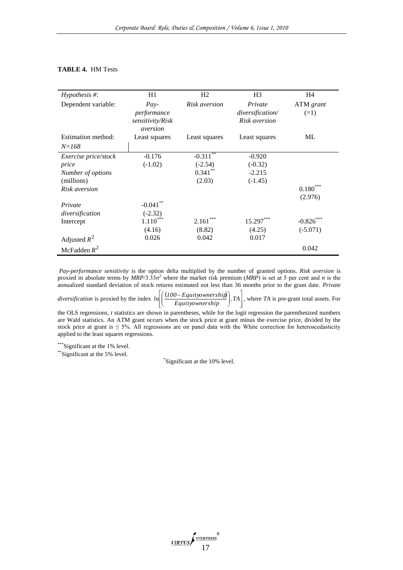#### **TABLE 4.** HM Tests

| $Hypothesis \#$ :               | H1                                                    | H2                       | H <sub>3</sub>                               | H <sub>4</sub>      |
|---------------------------------|-------------------------------------------------------|--------------------------|----------------------------------------------|---------------------|
| Dependent variable:             | $Pay-$<br>performance<br>sensitivity/Risk<br>aversion | Risk aversion            | Private<br>diversification/<br>Risk aversion | ATM grant<br>$(=1)$ |
| Estimation method:<br>$N = 168$ | Least squares                                         | Least squares            | Least squares                                | МL                  |
| Exercise price/stock            | $-0.176$                                              | $-0.31\overline{1^{**}}$ | $-0.920$                                     |                     |
| price                           | $(-1.02)$                                             | $(-2.54)$                | $(-0.32)$                                    |                     |
| Number of options               |                                                       | $0.341***$               | $-2.215$                                     |                     |
| (millions)                      |                                                       | (2.03)                   | $(-1.45)$                                    |                     |
| Risk aversion                   |                                                       |                          |                                              | $0.180^{r}$         |
|                                 |                                                       |                          |                                              | (2.976)             |
| Private                         | $-0.041$ **                                           |                          |                                              |                     |
| diversification                 | $(-2.32)$                                             |                          |                                              |                     |
| Intercept                       | $1.110^\ast$                                          | 2.161                    | 15.297***                                    | $-0.826***$         |
|                                 | (4.16)                                                | (8.82)                   | (4.25)                                       | $(-5.071)$          |
| Adjusted $R^2$                  | 0.026                                                 | 0.042                    | 0.017                                        |                     |
| McFadden $R^2$                  |                                                       |                          |                                              | 0.042               |

*Pay-performance sensitivity* is the option delta multiplied by the number of granted options. *Risk aversion* is proxied in absolute terms by *MRP*/3.33σ<sup>2</sup> where the market risk premium (*MRP*) is set at 5 per cent and σ is the annualized standard deviation of stock returns estimated not less than 36 months prior to the grant date. *Private* 

*diversification* is proxied by the index  $\ln\left(\frac{(100 - \text{Equity ownership})}{\pi}\right)$ 

  $\overline{\phantom{a}}$ J  $\overline{\phantom{a}}$ J  $\backslash$  $\ln\left|\left(\frac{(100 - Equity ownership)}{Equity ownership}\right).TA\right|$ , where *TA* is pre-grant total assets. For

the OLS regressions, *t* statistics are shown in parentheses, while for the logit regression the parenthesized numbers are Wald statistics. An ATM grant occurs when the stock price at grant minus the exercise price, divided by the stock price at grant is  $\leq 5\%$ . All regressions are on panel data with the White correction for heteroscedasticity applied to the least squares regressions.

 $\parallel$ L L

 $\mid$  $\overline{\phantom{0}}$ 

\*\*\*Significant at the 1% level.

\*\*Significant at the 5% level.

\* Significant at the 10% level.